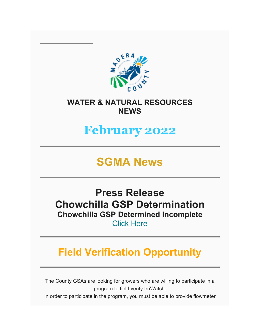

### **WATER & NATURAL RESOURCES NEWS**

# **February 2022**

# **SGMA News**

## **Press Release Chowchilla GSP Determination Chowchilla GSP Determined Incomplete**

[Click Here](https://www.maderacountywater.com/wp-content/uploads/2022/01/Draft-of-Chowchilla-GSP-Determination-Press-Release-Final.pdf)

# **Field Verification Opportunity**

The County GSAs are looking for growers who are willing to participate in a program to field verify IrriWatch.

In order to participate in the program, you must be able to provide flowmeter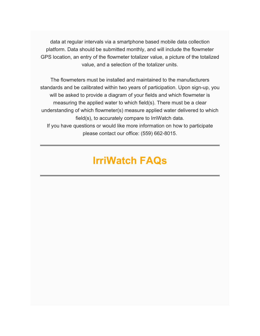data at regular intervals via a smartphone based mobile data collection platform. Data should be submitted monthly, and will include the flowmeter GPS location, an entry of the flowmeter totalizer value, a picture of the totalized value, and a selection of the totalizer units.

The flowmeters must be installed and maintained to the manufacturers standards and be calibrated within two years of participation. Upon sign-up, you will be asked to provide a diagram of your fields and which flowmeter is measuring the applied water to which field(s). There must be a clear understanding of which flowmeter(s) measure applied water delivered to which field(s), to accurately compare to IrriWatch data. If you have questions or would like more information on how to participate please contact our office: (559) 662-8015.

## **IrriWatch FAQs**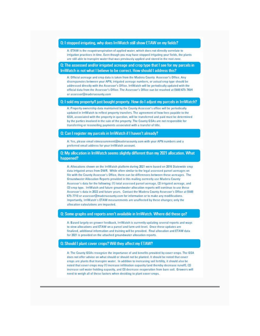#### Q: I stopped irrigating, why does IrriWatch still show ETAW on my fields?

A: ETAW is the evapotranspiration of applied water, which does not directly correlate to irrigation practices in time. Even though you may have stopped irrigating your fields, the plants are still able to transpire water that was previously applied and stored in the root zone.

Q: The assessed and/or irrigated acreage and crop type that I see for my parcels in IrriWatch is not what I believe to be correct. How should I address this?

A: Official acreage and crop data is taken from the Madera County Assessor's Office. Any discrepancies between your APN, irrigated acreage numbers, or actual crop type should be addressed directly with the Assessor's Office, IrriWatch will be periodically updated with the official data from the Assessor's Office. The Assessor's Office can be reached at (559) 675-7654 or assessor@maderacounty.com

#### Q: I sold my property/I just bought property. How do I adjust my parcels in IrriWatch?

A: Property ownership data maintained by the County Assessor's office will be periodically updated in IrriWatch to reflect property transfers. The agreement of how fees payable to the GSA, associated with the property in question, will be transferred and paid must be determined by the parties involved in the sale of the property. The County GSAs are not responsible for transferring or reconciling payments associated with a transfer of title.

Q: Can I register my parcels in IrriWatch if I haven't already?

A: Yes, please email etmeasurement@maderacounty.com with your APN numbers and a preferred email address for your IrriWatch account.

#### Q: My allocation in IrriWatch seems slightly different than my 2021 allocation. What happened?

A: Allocations shown on the IrriWatch platform during 2021 were based on 2016 Statewide crop data irrigated areas from DWR. While often similar to the legal assessed parcel acreages on file with the County Assessor's Office, there can be differences between these acreages. The Groundwater Allocation Reports provided in this mailing correctly use Madera County Assessor's data for the following: (1) total assessed parcel acreage, (2) irrigated acreage, and (3) crop type. IrriWatch and future groundwater allocation reports will continue to use these Assessor's data in 2022 and future years. Contact the Madera County Assessor's Office at (559) 675-7710 or assessor@maderacounty.com for information or to make any modifications. Importantly, IrriWatch's ETAW measurements are unaffected by these changes; only the allocation calculations are impacted.

#### Q: Some graphs and reports aren't available in IrriWatch. Where did these go?

A: Based largely on grower feedback, IrriWatch is currently updating several reports and ways to view allocations and ETAW on a parcel and farm unit level. Once these updates are finalized, additional information and training will be provided. Final allocation and ETAW data for 2021 is provided on the attached groundwater allocation reports.

#### Q: Should I plant cover crops? Will they affect my ETAW?

A: The County GSAs recognize the importance of and benefits provided by cover crops. The GSA does not offer advice on what should or should not be planted. It should be noted that cover crops are plants that transpire water. In addition to increasing soil fertility, it should also be noted that cover crops may (1) increase infiltration capacity (and thereby decrease runoff), (2) increase soil water holding capacity, and (3) decrease evaporation from bare soil. Growers will need to weigh all of these factors when deciding to plant cover crops.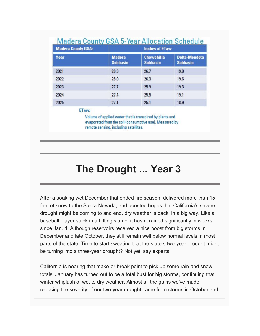### **Madera County GSA 5-Year Allocation Schedule**

| <b>Madera County GSA:</b> | <b>Inches of ETaw</b>            |                                      |                                         |
|---------------------------|----------------------------------|--------------------------------------|-----------------------------------------|
| Year                      | <b>Madera</b><br><b>Subbasin</b> | <b>Chowchilla</b><br><b>Subbasin</b> | <b>Delta-Mendota</b><br><b>Subbasin</b> |
| 2021                      | 28.3                             | 26.7                                 | 19.8                                    |
| 2022                      | 28.0                             | 26.3                                 | 19.6                                    |
| 2023                      | 27.7                             | 25.9                                 | 19.3                                    |
| 2024                      | 27.4                             | 25.5                                 | 19.1                                    |
| 2025                      | 27.1                             | 25.1                                 | 18.9                                    |

#### ETaw:

Volume of applied water that is transpired by plants and evaporated from the soil (consumptive use). Measured by remote sensing, including satellites.

# **The Drought ... Year 3**

After a soaking wet December that ended fire season, delivered more than 15 feet of snow to the Sierra Nevada, and boosted hopes that California's severe drought might be coming to and end, dry weather is back, in a big way. Like a baseball player stuck in a hitting slump, it hasn't rained significantly in weeks, since Jan. 4. Although reservoirs received a nice boost from big storms in December and late October, they still remain well below normal levels in most parts of the state. Time to start sweating that the state's two-year drought might be turning into a three-year drought? Not yet, say experts.

California is nearing that make-or-break point to pick up some rain and snow totals. January has turned out to be a total bust for big storms, continuing that winter whiplash of wet to dry weather. Almost all the gains we've made reducing the severity of our two-year drought came from storms in October and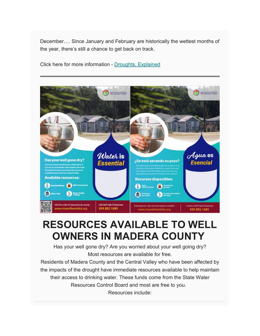December…. Since January and February are historically the wettest months of the year, there's still a chance to get back on track.

Click here for more information - [Droughts, Explained](https://www.maderacountywater.com/drought/)



## **RESOURCES AVAILABLE TO WELL OWNERS IN MADERA COUNTY**

Has your well gone dry? Are you worried about your well going dry? Most resources are available for free.

Residents of Madera County and the Central Valley who have been affected by the impacts of the drought have immediate resources available to help maintain their access to drinking water. These funds come from the State Water Resources Control Board and most are free to you. Resources include: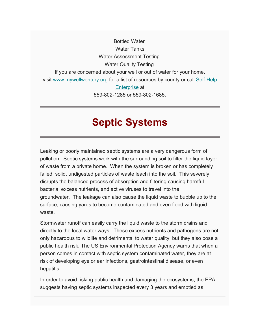Bottled Water Water Tanks Water Assessment Testing Water Quality Testing If you are concerned about your well or out of water for your home, visit [www.mywellwentdry.org](http://www.mywellwentdry.org/) for a list of resources by county or call [Self-Help](https://maderacountywater.us19.list-manage.com/track/click?u=58cfa0ba8c3919b95f24fac11&id=6c9c270fa2&e=f787005428)  [Enterprise](https://maderacountywater.us19.list-manage.com/track/click?u=58cfa0ba8c3919b95f24fac11&id=6c9c270fa2&e=f787005428) at 559-802-1285 or 559-802-1685.

## **Septic Systems**

Leaking or poorly maintained septic systems are a very dangerous form of pollution. Septic systems work with the surrounding soil to filter the liquid layer of waste from a private home. When the system is broken or has completely failed, solid, undigested particles of waste leach into the soil. This severely disrupts the balanced process of absorption and filtering causing harmful bacteria, excess nutrients, and active viruses to travel into the groundwater. The leakage can also cause the liquid waste to bubble up to the surface, causing yards to become contaminated and even flood with liquid waste.

Stormwater runoff can easily carry the liquid waste to the storm drains and directly to the local water ways. These excess nutrients and pathogens are not only hazardous to wildlife and detrimental to water quality, but they also pose a public health risk. The US Environmental Protection Agency warns that when a person comes in contact with septic system contaminated water, they are at risk of developing eye or ear infections, gastrointestinal disease, or even hepatitis.

In order to avoid risking public health and damaging the ecosystems, the EPA suggests having septic systems inspected every 3 years and emptied as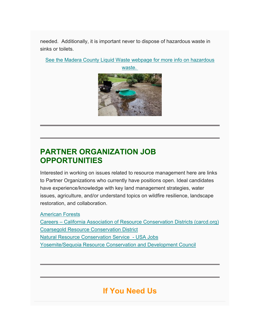needed. Additionally, it is important never to dispose of hazardous waste in sinks or toilets.

[See the Madera County Liquid Waste webpage for more info on hazardous](https://www.maderacounty.com/government/community-economic-development-department/divisions/environmental-health-division/liquid-waste-program) 



### **PARTNER ORGANIZATION JOB OPPORTUNITIES**

Interested in working on issues related to resource management here are links to Partner Organizations who currently have positions open. Ideal candidates have experience/knowledge with key land management strategies, water issues, agriculture, and/or understand topics on wildfire resilience, landscape restoration, and collaboration.

[American Forests](https://www.americanforests.org/jobs/)

Careers – [California Association of Resource Conservation Districts \(carcd.org\)](https://carcd.org/about-us/careers/) [Coarsegold Resource Conservation District](https://crcd.org/jobs/) [Natural Resource Conservation Service](https://www.usajobs.gov/) - USA Jobs [Yosemite/Sequoia Resource Conservation and Development Council](https://ysrcandd.org/get-involved/careers/)

### **If You Need Us**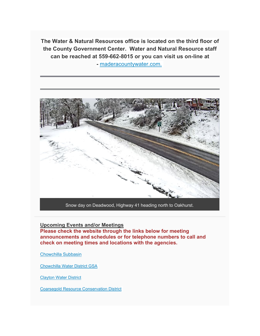**The Water & Natural Resources office is located on the third floor of the County Government Center. Water and Natural Resource staff can be reached at 559-662-8015 or you can visit us on-line at** 

**-** [maderacountywater.com.](https://www.maderacountywater.com/)



Snow day on Deadwood, Highway 41 heading north to Oakhurst.

#### **Upcoming Events and/or Meetings**

**Please check the website through the links below for meeting announcements and schedules or for telephone numbers to call and check on meeting times and locations with the agencies.**

[Chowchilla Subbasin](https://www.maderacountywater.com/chowchilla-subbasin/)

[Chowchilla Water District GSA](https://www.cwdwater.com/index.php/sustainable-groundwater-management-act/122-cwd-sustainable-groundwater-management-act)

[Clayton Water District](https://claytonwd.com/)

[Coarsegold Resource Conservation District](http://www.crcd.org/)